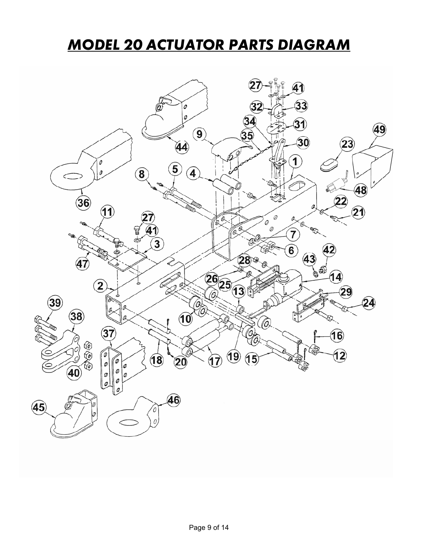## *MODEL 20 ACTUATOR PARTS DIAGRAM*

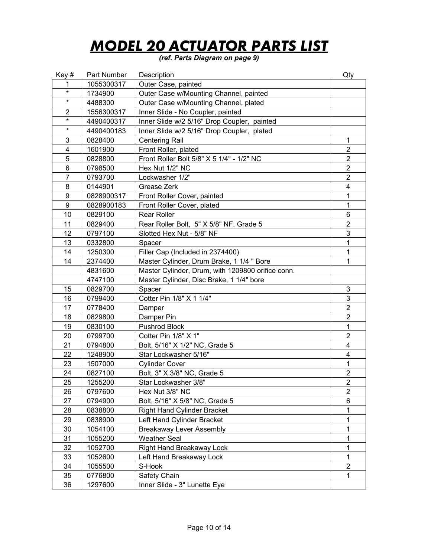## *MODEL 20 ACTUATOR PARTS LIST*

*(ref. Parts Diagram on page 9)* 

| Key#                    | Part Number | Description                                       | Qty                     |
|-------------------------|-------------|---------------------------------------------------|-------------------------|
| 1                       | 1055300317  | Outer Case, painted                               |                         |
| $\star$                 | 1734900     | Outer Case w/Mounting Channel, painted            |                         |
| $\star$                 | 4488300     | Outer Case w/Mounting Channel, plated             |                         |
| $\overline{2}$          | 1556300317  | Inner Slide - No Coupler, painted                 |                         |
| $\star$                 | 4490400317  | Inner Slide w/2 5/16" Drop Coupler, painted       |                         |
| $\star$                 | 4490400183  | Inner Slide w/2 5/16" Drop Coupler, plated        |                         |
| 3                       | 0828400     | <b>Centering Rail</b>                             | 1                       |
| $\overline{\mathbf{4}}$ | 1601900     | Front Roller, plated                              | $\overline{2}$          |
| 5                       | 0828800     | Front Roller Bolt 5/8" X 5 1/4" - 1/2" NC         | $\overline{2}$          |
| 6                       | 0798500     | Hex Nut 1/2" NC                                   | $\overline{2}$          |
| $\overline{7}$          | 0793700     | Lockwasher 1/2"                                   | $\overline{2}$          |
| 8                       | 0144901     | Grease Zerk                                       | $\overline{\mathbf{4}}$ |
| 9                       | 0828900317  | Front Roller Cover, painted                       | 1                       |
| 9                       | 0828900183  | Front Roller Cover, plated                        | 1                       |
| 10                      | 0829100     | <b>Rear Roller</b>                                | 6                       |
| 11                      | 0829400     | Rear Roller Bolt, 5" X 5/8" NF, Grade 5           | $\overline{2}$          |
| 12                      | 0797100     | Slotted Hex Nut - 5/8" NF                         | 3                       |
| 13                      | 0332800     | Spacer                                            | 1                       |
| 14                      | 1250300     | Filler Cap (Included in 2374400)                  | 1                       |
| 14                      | 2374400     | Master Cylinder, Drum Brake, 1 1/4 " Bore         | 1                       |
|                         | 4831600     | Master Cylinder, Drum, with 1209800 orifice conn. |                         |
|                         | 4747100     | Master Cylinder, Disc Brake, 1 1/4" bore          |                         |
| 15                      | 0829700     | Spacer                                            | 3                       |
| 16                      | 0799400     | Cotter Pin 1/8" X 1 1/4"                          | $\mathfrak{S}$          |
| 17                      | 0778400     | Damper                                            | $\overline{2}$          |
| 18                      | 0829800     | Damper Pin                                        | $\overline{2}$          |
| 19                      | 0830100     | Pushrod Block                                     | $\mathbf 1$             |
| 20                      | 0799700     | Cotter Pin 1/8" X 1"                              | $\overline{2}$          |
| 21                      | 0794800     | Bolt, 5/16" X 1/2" NC, Grade 5                    | 4                       |
| 22                      | 1248900     | Star Lockwasher 5/16"                             | $\overline{\mathbf{4}}$ |
| 23                      | 1507000     | <b>Cylinder Cover</b>                             | $\mathbf 1$             |
| 24                      | 0827100     | Bolt, 3" X 3/8" NC, Grade 5                       | $\mathbf 2$             |
| 25                      | 1255200     | Star Lockwasher 3/8"                              | $\overline{2}$          |
| 26                      | 0797600     | Hex Nut 3/8" NC                                   | $\overline{2}$          |
| 27                      | 0794900     | Bolt, 5/16" X 5/8" NC, Grade 5                    | 6                       |
| 28                      | 0838800     | <b>Right Hand Cylinder Bracket</b>                | 1                       |
| 29                      | 0838900     | Left Hand Cylinder Bracket                        | 1                       |
| 30                      | 1054100     | <b>Breakaway Lever Assembly</b>                   | 1                       |
| 31                      | 1055200     | <b>Weather Seal</b>                               | 1                       |
| 32                      | 1052700     | Right Hand Breakaway Lock                         | 1                       |
| 33                      | 1052600     | Left Hand Breakaway Lock                          | 1                       |
| 34                      | 1055500     | S-Hook                                            | $\overline{c}$          |
| 35                      | 0776800     | Safety Chain                                      | 1                       |
| 36                      | 1297600     | Inner Slide - 3" Lunette Eye                      |                         |